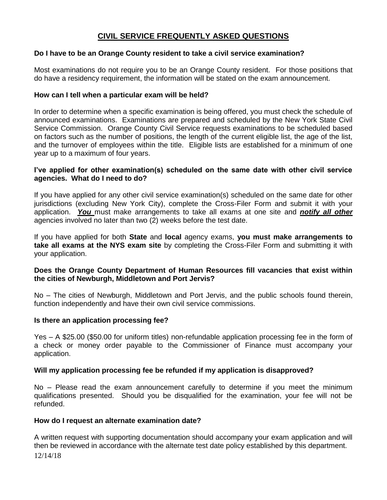# **CIVIL SERVICE FREQUENTLY ASKED QUESTIONS**

# **Do I have to be an Orange County resident to take a civil service examination?**

Most examinations do not require you to be an Orange County resident. For those positions that do have a residency requirement, the information will be stated on the exam announcement.

## **How can I tell when a particular exam will be held?**

In order to determine when a specific examination is being offered, you must check the schedule of announced examinations. Examinations are prepared and scheduled by the New York State Civil Service Commission. Orange County Civil Service requests examinations to be scheduled based on factors such as the number of positions, the length of the current eligible list, the age of the list, and the turnover of employees within the title. Eligible lists are established for a minimum of one year up to a maximum of four years.

#### **I've applied for other examination(s) scheduled on the same date with other civil service agencies. What do I need to do?**

If you have applied for any other civil service examination(s) scheduled on the same date for other jurisdictions (excluding New York City), complete the Cross-Filer Form and submit it with your application. *You* must make arrangements to take all exams at one site and *notify all other* agencies involved no later than two (2) weeks before the test date.

If you have applied for both **State** and **local** agency exams, **you must make arrangements to take all exams at the NYS exam site** by completing the Cross-Filer Form and submitting it with your application.

## **Does the Orange County Department of Human Resources fill vacancies that exist within the cities of Newburgh, Middletown and Port Jervis?**

No – The cities of Newburgh, Middletown and Port Jervis, and the public schools found therein, function independently and have their own civil service commissions.

## **Is there an application processing fee?**

Yes – A \$25.00 (\$50.00 for uniform titles) non-refundable application processing fee in the form of a check or money order payable to the Commissioner of Finance must accompany your application.

## **Will my application processing fee be refunded if my application is disapproved?**

No – Please read the exam announcement carefully to determine if you meet the minimum qualifications presented. Should you be disqualified for the examination, your fee will not be refunded.

#### **How do I request an alternate examination date?**

12/14/18 A written request with supporting documentation should accompany your exam application and will then be reviewed in accordance with the alternate test date policy established by this department.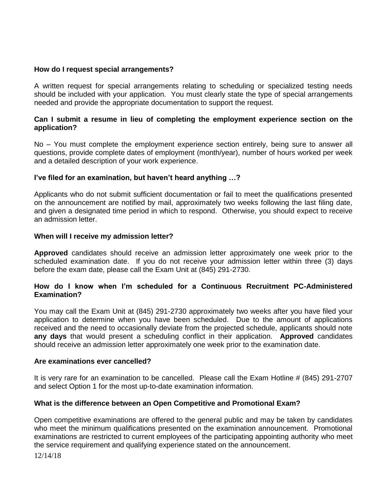## **How do I request special arrangements?**

A written request for special arrangements relating to scheduling or specialized testing needs should be included with your application. You must clearly state the type of special arrangements needed and provide the appropriate documentation to support the request.

#### **Can I submit a resume in lieu of completing the employment experience section on the application?**

No – You must complete the employment experience section entirely, being sure to answer all questions, provide complete dates of employment (month/year), number of hours worked per week and a detailed description of your work experience.

#### **I've filed for an examination, but haven't heard anything …?**

Applicants who do not submit sufficient documentation or fail to meet the qualifications presented on the announcement are notified by mail, approximately two weeks following the last filing date, and given a designated time period in which to respond. Otherwise, you should expect to receive an admission letter.

#### **When will I receive my admission letter?**

**Approved** candidates should receive an admission letter approximately one week prior to the scheduled examination date. If you do not receive your admission letter within three (3) days before the exam date, please call the Exam Unit at (845) 291-2730.

## **How do I know when I'm scheduled for a Continuous Recruitment PC-Administered Examination?**

You may call the Exam Unit at (845) 291-2730 approximately two weeks after you have filed your application to determine when you have been scheduled. Due to the amount of applications received and the need to occasionally deviate from the projected schedule, applicants should note **any days** that would present a scheduling conflict in their application. **Approved** candidates should receive an admission letter approximately one week prior to the examination date.

#### **Are examinations ever cancelled?**

It is very rare for an examination to be cancelled. Please call the Exam Hotline # (845) 291-2707 and select Option 1 for the most up-to-date examination information.

## **What is the difference between an Open Competitive and Promotional Exam?**

Open competitive examinations are offered to the general public and may be taken by candidates who meet the minimum qualifications presented on the examination announcement. Promotional examinations are restricted to current employees of the participating appointing authority who meet the service requirement and qualifying experience stated on the announcement.

12/14/18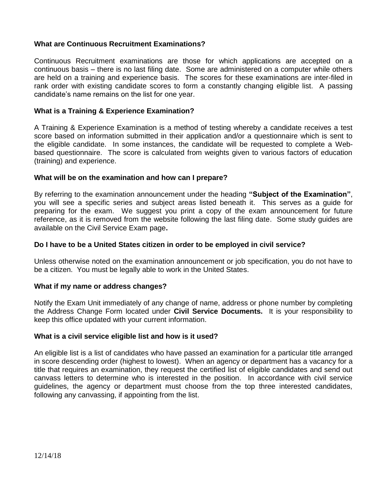# **What are Continuous Recruitment Examinations?**

Continuous Recruitment examinations are those for which applications are accepted on a continuous basis – there is no last filing date. Some are administered on a computer while others are held on a training and experience basis. The scores for these examinations are inter-filed in rank order with existing candidate scores to form a constantly changing eligible list. A passing candidate's name remains on the list for one year.

# **What is a Training & Experience Examination?**

A Training & Experience Examination is a method of testing whereby a candidate receives a test score based on information submitted in their application and/or a questionnaire which is sent to the eligible candidate. In some instances, the candidate will be requested to complete a Webbased questionnaire. The score is calculated from weights given to various factors of education (training) and experience.

#### **What will be on the examination and how can I prepare?**

By referring to the examination announcement under the heading **"Subject of the Examination"**, you will see a specific series and subject areas listed beneath it. This serves as a guide for preparing for the exam. We suggest you print a copy of the exam announcement for future reference, as it is removed from the website following the last filing date. Some study guides are available on the Civil Service Exam page**.**

#### **Do I have to be a United States citizen in order to be employed in civil service?**

Unless otherwise noted on the examination announcement or job specification, you do not have to be a citizen. You must be legally able to work in the United States.

## **What if my name or address changes?**

Notify the Exam Unit immediately of any change of name, address or phone number by completing the Address Change Form located under **Civil Service Documents.** It is your responsibility to keep this office updated with your current information.

#### **What is a civil service eligible list and how is it used?**

An eligible list is a list of candidates who have passed an examination for a particular title arranged in score descending order (highest to lowest). When an agency or department has a vacancy for a title that requires an examination, they request the certified list of eligible candidates and send out canvass letters to determine who is interested in the position. In accordance with civil service guidelines, the agency or department must choose from the top three interested candidates, following any canvassing, if appointing from the list.